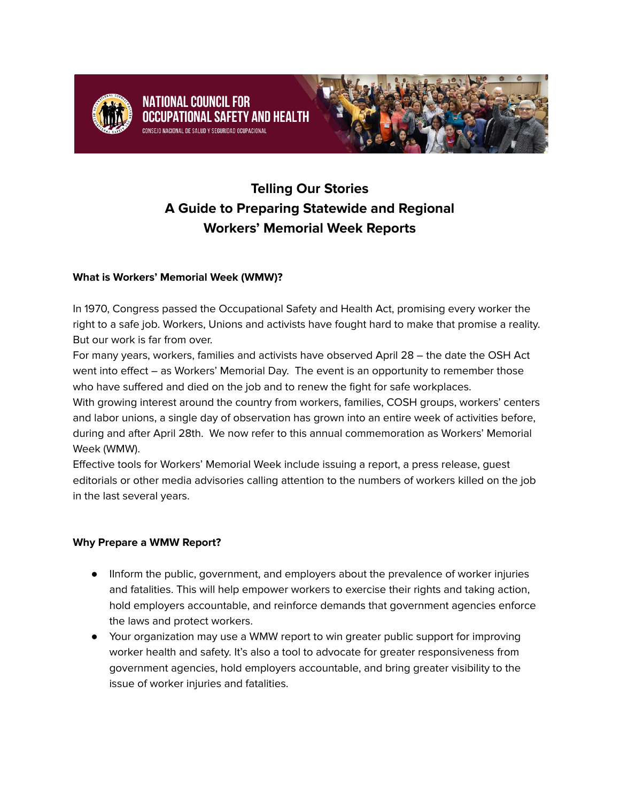

## **NATIONAL COUNCIL FOR** AL SAFETY AND HEALTH



# **Telling Our Stories A Guide to Preparing Statewide and Regional Workers' Memorial Week Reports**

### **What is Workers' Memorial Week (WMW)?**

In 1970, Congress passed the Occupational Safety and Health Act, promising every worker the right to a safe job. Workers, Unions and activists have fought hard to make that promise a reality. But our work is far from over.

For many years, workers, families and activists have observed April 28 – the date the OSH Act went into effect – as Workers' Memorial Day. The event is an opportunity to remember those who have suffered and died on the job and to renew the fight for safe workplaces.

With growing interest around the country from workers, families, COSH groups, workers' centers and labor unions, a single day of observation has grown into an entire week of activities before, during and after April 28th. We now refer to this annual commemoration as Workers' Memorial Week (WMW).

Effective tools for Workers' Memorial Week include issuing a report, a press release, guest editorials or other media advisories calling attention to the numbers of workers killed on the job in the last several years.

#### **Why Prepare a WMW Report?**

- IInform the public, government, and employers about the prevalence of worker injuries and fatalities. This will help empower workers to exercise their rights and taking action, hold employers accountable, and reinforce demands that government agencies enforce the laws and protect workers.
- Your organization may use a WMW report to win greater public support for improving worker health and safety. It's also a tool to advocate for greater responsiveness from government agencies, hold employers accountable, and bring greater visibility to the issue of worker injuries and fatalities.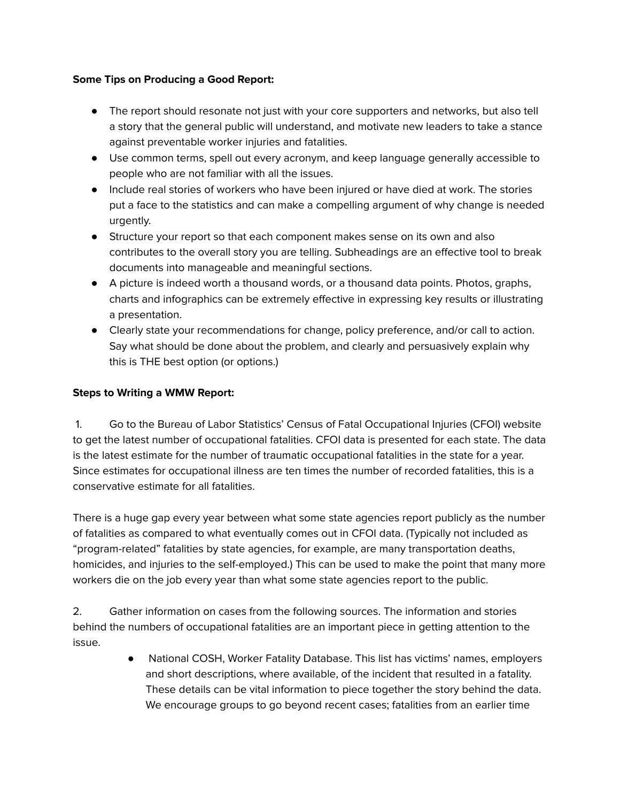#### **Some Tips on Producing a Good Report:**

- The report should resonate not just with your core supporters and networks, but also tell a story that the general public will understand, and motivate new leaders to take a stance against preventable worker injuries and fatalities.
- Use common terms, spell out every acronym, and keep language generally accessible to people who are not familiar with all the issues.
- Include real stories of workers who have been injured or have died at work. The stories put a face to the statistics and can make a compelling argument of why change is needed urgently.
- Structure your report so that each component makes sense on its own and also contributes to the overall story you are telling. Subheadings are an effective tool to break documents into manageable and meaningful sections.
- A picture is indeed worth a thousand words, or a thousand data points. Photos, graphs, charts and infographics can be extremely effective in expressing key results or illustrating a presentation.
- Clearly state your recommendations for change, policy preference, and/or call to action. Say what should be done about the problem, and clearly and persuasively explain why this is THE best option (or options.)

## **Steps to Writing a WMW Report:**

1. Go to the Bureau of Labor Statistics' Census of Fatal Occupational Injuries (CFOI) website to get the latest number of occupational fatalities. CFOI data is presented for each state. The data is the latest estimate for the number of traumatic occupational fatalities in the state for a year. Since estimates for occupational illness are ten times the number of recorded fatalities, this is a conservative estimate for all fatalities.

There is a huge gap every year between what some state agencies report publicly as the number of fatalities as compared to what eventually comes out in CFOI data. (Typically not included as "program-related" fatalities by state agencies, for example, are many transportation deaths, homicides, and injuries to the self-employed.) This can be used to make the point that many more workers die on the job every year than what some state agencies report to the public.

2. Gather information on cases from the following sources. The information and stories behind the numbers of occupational fatalities are an important piece in getting attention to the issue.

> ● National COSH, Worker Fatality Database. This list has victims' names, employers and short descriptions, where available, of the incident that resulted in a fatality. These details can be vital information to piece together the story behind the data. We encourage groups to go beyond recent cases; fatalities from an earlier time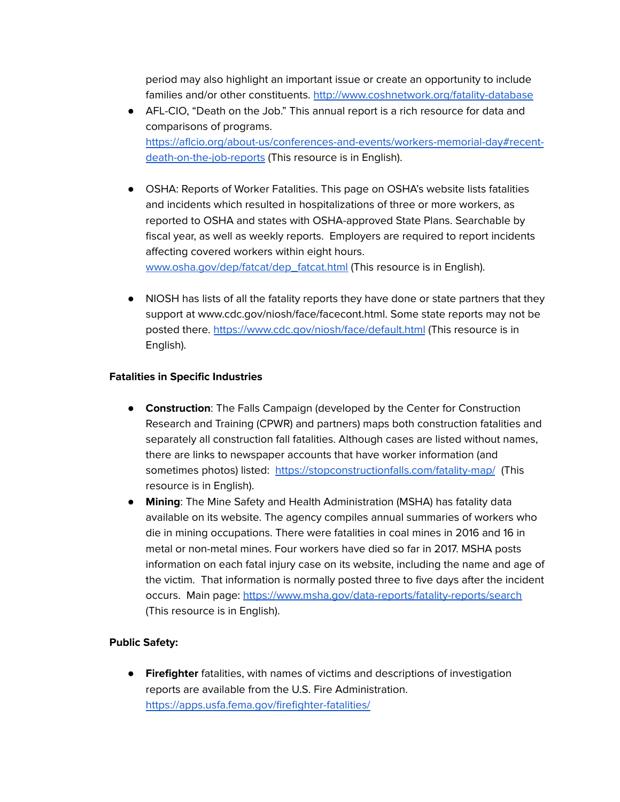period may also highlight an important issue or create an opportunity to include families and/or other constituents. <http://www.coshnetwork.org/fatality-database>

- AFL-CIO, "Death on the Job." This annual report is a rich resource for data and comparisons of programs. [https://aflcio.org/about-us/conferences-and-events/workers-memorial-day#recent](https://aflcio.org/about-us/conferences-and-events/workers-memorial-day#recent-death-on-the-job-reports)[death-on-the-job-reports](https://aflcio.org/about-us/conferences-and-events/workers-memorial-day#recent-death-on-the-job-reports) (This resource is in English).
- OSHA: Reports of Worker Fatalities. This page on OSHA's website lists fatalities and incidents which resulted in hospitalizations of three or more workers, as reported to OSHA and states with OSHA-approved State Plans. Searchable by fiscal year, as well as weekly reports. Employers are required to report incidents affecting covered workers within eight hours. [www.osha.gov/dep/fatcat/dep\\_fatcat.html](http://www.osha.gov/dep/fatcat/dep_fatcat.html) (This resource is in English).
- NIOSH has lists of all the fatality reports they have done or state partners that they support at www.cdc.gov/niosh/face/facecont.html. Some state reports may not be posted there. <https://www.cdc.gov/niosh/face/default.html> (This resource is in English).

#### **Fatalities in Specific Industries**

- **Construction**: The Falls Campaign (developed by the Center for Construction Research and Training (CPWR) and partners) maps both construction fatalities and separately all construction fall fatalities. Although cases are listed without names, there are links to newspaper accounts that have worker information (and sometimes photos) listed: <https://stopconstructionfalls.com/fatality-map/> (This resource is in English).
- **Mining**: The Mine Safety and Health Administration (MSHA) has fatality data available on its website. The agency compiles annual summaries of workers who die in mining occupations. There were fatalities in coal mines in 2016 and 16 in metal or non-metal mines. Four workers have died so far in 2017. MSHA posts information on each fatal injury case on its website, including the name and age of the victim. That information is normally posted three to five days after the incident occurs. Main page: <https://www.msha.gov/data-reports/fatality-reports/search> (This resource is in English).

#### **Public Safety:**

● **Firefighter** fatalities, with names of victims and descriptions of investigation reports are available from the U.S. Fire Administration. <https://apps.usfa.fema.gov/firefighter-fatalities/>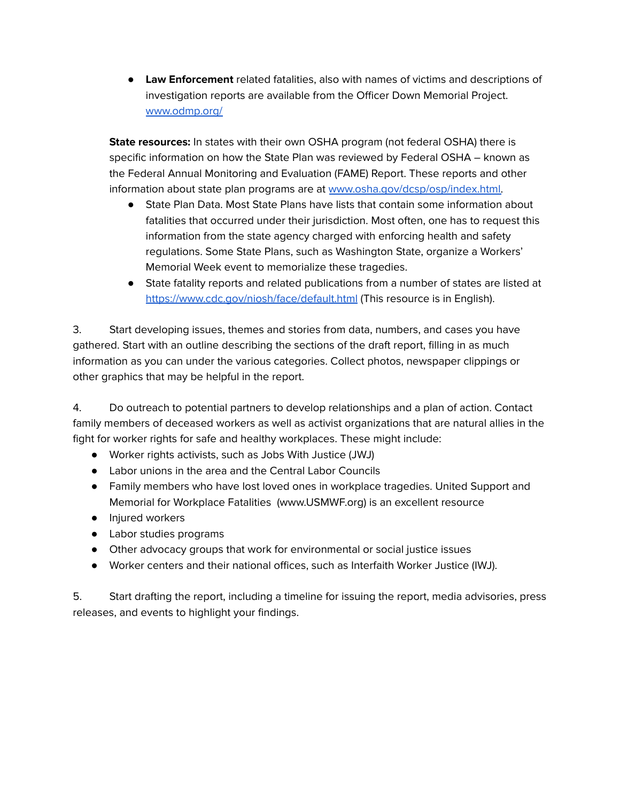● **Law Enforcement** related fatalities, also with names of victims and descriptions of investigation reports are available from the Officer Down Memorial Project. [www.odmp.org/](http://www.odmp.org/)

**State resources:** In states with their own OSHA program (not federal OSHA) there is specific information on how the State Plan was reviewed by Federal OSHA – known as the Federal Annual Monitoring and Evaluation (FAME) Report. These reports and other information about state plan programs are at [www.osha.gov/dcsp/osp/index.html.](http://www.osha.gov/dcsp/osp/index.html)

- State Plan Data. Most State Plans have lists that contain some information about fatalities that occurred under their jurisdiction. Most often, one has to request this information from the state agency charged with enforcing health and safety regulations. Some State Plans, such as Washington State, organize a Workers' Memorial Week event to memorialize these tragedies.
- State fatality reports and related publications from a number of states are listed at <https://www.cdc.gov/niosh/face/default.html> (This resource is in English).

3. Start developing issues, themes and stories from data, numbers, and cases you have gathered. Start with an outline describing the sections of the draft report, filling in as much information as you can under the various categories. Collect photos, newspaper clippings or other graphics that may be helpful in the report.

4. Do outreach to potential partners to develop relationships and a plan of action. Contact family members of deceased workers as well as activist organizations that are natural allies in the fight for worker rights for safe and healthy workplaces. These might include:

- Worker rights activists, such as Jobs With Justice (JWJ)
- Labor unions in the area and the Central Labor Councils
- Family members who have lost loved ones in workplace tragedies. United Support and Memorial for Workplace Fatalities (www.USMWF.org) is an excellent resource
- Injured workers
- Labor studies programs
- Other advocacy groups that work for environmental or social justice issues
- Worker centers and their national offices, such as Interfaith Worker Justice (IWJ).

5. Start drafting the report, including a timeline for issuing the report, media advisories, press releases, and events to highlight your findings.